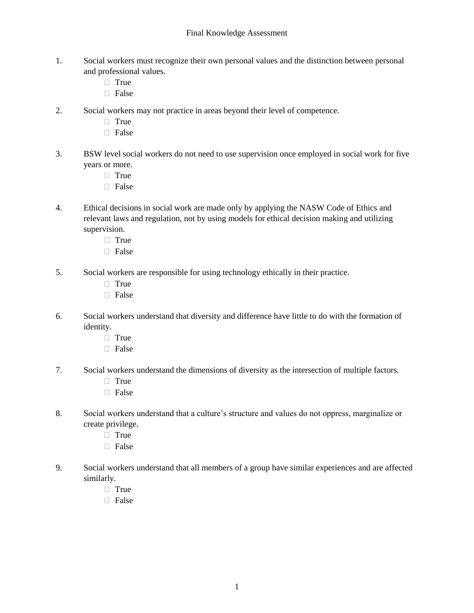- 1. Social workers must recognize their own personal values and the distinction between personal and professional values.
	- $\Box$  True
	- □ False
- 2. Social workers may not practice in areas beyond their level of competence.
	- $\Box$  True
	- $\Box$  False
- 3. BSW level social workers do not need to use supervision once employed in social work for five years or more.
	- $\Box$  True
	- False
- 4. Ethical decisions in social work are made only by applying the NASW Code of Ethics and relevant laws and regulation, not by using models for ethical decision making and utilizing supervision.
	- True
	- □ False
- 5. Social workers are responsible for using technology ethically in their practice.
	- $\Box$  True
	- □ False
- 6. Social workers understand that diversity and difference have little to do with the formation of identity.
	- $\Box$  True
	- □ False
- 7. Social workers understand the dimensions of diversity as the intersection of multiple factors.
	- $\Box$  True
	- □ False
- 8. Social workers understand that a culture's structure and values do not oppress, marginalize or create privilege.
	- □ True
	- □ False
- 9. Social workers understand that all members of a group have similar experiences and are affected similarly.
	- True
	- □ False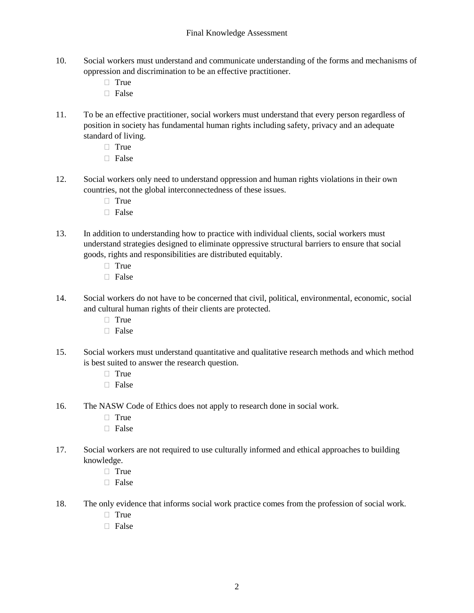- 10. Social workers must understand and communicate understanding of the forms and mechanisms of oppression and discrimination to be an effective practitioner.
	- $\Box$  True
	- □ False
- 11. To be an effective practitioner, social workers must understand that every person regardless of position in society has fundamental human rights including safety, privacy and an adequate standard of living.
	- $\Box$  True
	- $\Box$  False
- 12. Social workers only need to understand oppression and human rights violations in their own countries, not the global interconnectedness of these issues.
	- $\Box$  True
	- $\Box$  False
- 13. In addition to understanding how to practice with individual clients, social workers must understand strategies designed to eliminate oppressive structural barriers to ensure that social goods, rights and responsibilities are distributed equitably.
	- $\Box$  True
	- $\Box$  False
- 14. Social workers do not have to be concerned that civil, political, environmental, economic, social and cultural human rights of their clients are protected.
	- □ True
	- □ False
- 15. Social workers must understand quantitative and qualitative research methods and which method is best suited to answer the research question.
	- $\Box$  True
	- $\Box$  False
- 16. The NASW Code of Ethics does not apply to research done in social work.
	- True
	- □ False
- 17. Social workers are not required to use culturally informed and ethical approaches to building knowledge.
	- $\Box$  True
	- □ False
- 18. The only evidence that informs social work practice comes from the profession of social work.
	- True
	- $\Box$  False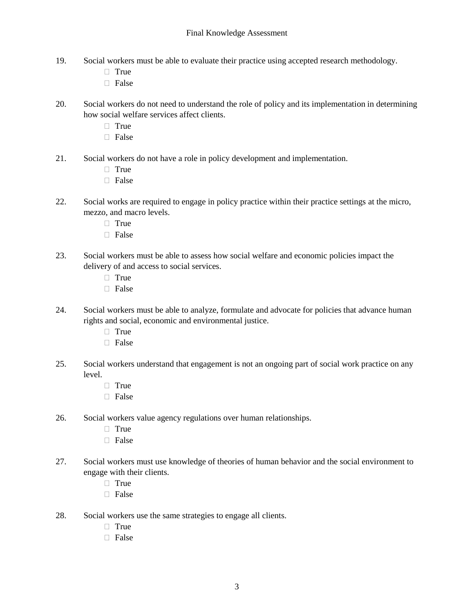- 19. Social workers must be able to evaluate their practice using accepted research methodology.
	- $\Box$  True
	- □ False
- 20. Social workers do not need to understand the role of policy and its implementation in determining how social welfare services affect clients.
	- $\Box$  True
	- □ False
- 21. Social workers do not have a role in policy development and implementation.
	- $\Box$  True
	- $\Box$  False
- 22. Social works are required to engage in policy practice within their practice settings at the micro, mezzo, and macro levels.
	- $\Box$  True
	- □ False
- 23. Social workers must be able to assess how social welfare and economic policies impact the delivery of and access to social services.
	- $\Box$  True
	- $\Box$  False
- 24. Social workers must be able to analyze, formulate and advocate for policies that advance human rights and social, economic and environmental justice.
	- $\Box$  True
	- $\Box$  False
- 25. Social workers understand that engagement is not an ongoing part of social work practice on any level.
	- $\Box$  True
	- $\Box$  False
- 26. Social workers value agency regulations over human relationships.
	- $\Box$  True
	- $\Box$  False
- 27. Social workers must use knowledge of theories of human behavior and the social environment to engage with their clients.
	- $\Box$  True
	- $\Box$  False
- 28. Social workers use the same strategies to engage all clients.
	- $\Box$  True
	- $\Box$  False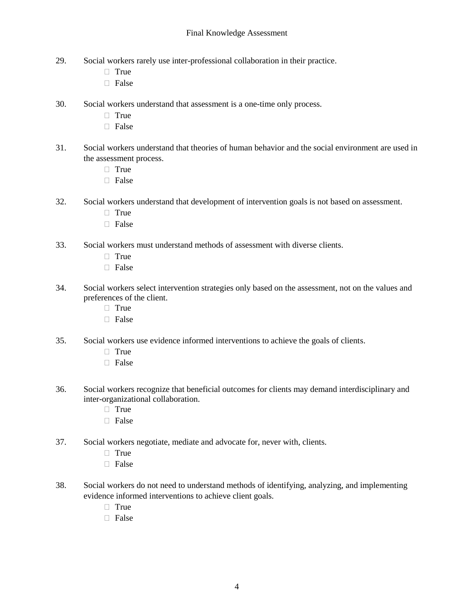- 29. Social workers rarely use inter-professional collaboration in their practice.
	- $\Box$  True
	- $\Box$  False
- 30. Social workers understand that assessment is a one-time only process.
	- True
	- □ False
- 31. Social workers understand that theories of human behavior and the social environment are used in the assessment process.
	- $\Box$  True
	- $\Box$  False
- 32. Social workers understand that development of intervention goals is not based on assessment.
	- $\Box$  True
	- $\Box$  False
- 33. Social workers must understand methods of assessment with diverse clients.
	- $\Box$  True
	- □ False
- 34. Social workers select intervention strategies only based on the assessment, not on the values and preferences of the client.
	- $\Box$  True
	- $\Box$  False
- 35. Social workers use evidence informed interventions to achieve the goals of clients.
	- $\Box$  True
	- □ False
- 36. Social workers recognize that beneficial outcomes for clients may demand interdisciplinary and inter-organizational collaboration.
	- $\Box$  True
	- $\Box$  False
- 37. Social workers negotiate, mediate and advocate for, never with, clients.
	- $\Box$  True
	- $\Box$  False
- 38. Social workers do not need to understand methods of identifying, analyzing, and implementing evidence informed interventions to achieve client goals.
	- $\Box$  True
	- False